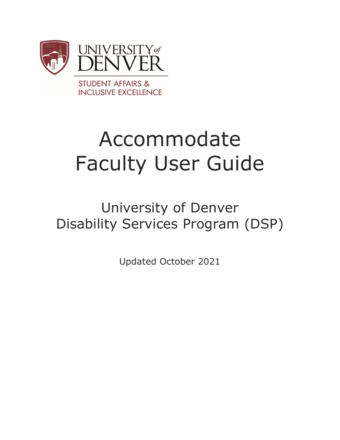

**STUDENT AFFAIRS & INCLUSIVE EXCELLENCE** 

# Accommodate Faculty User Guide

## University of Denver Disability Services Program (DSP)

Updated October 2021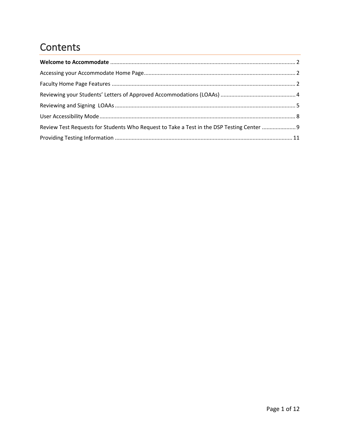### Contents

| Review Test Requests for Students Who Request to Take a Test in the DSP Testing Center  9 |  |
|-------------------------------------------------------------------------------------------|--|
|                                                                                           |  |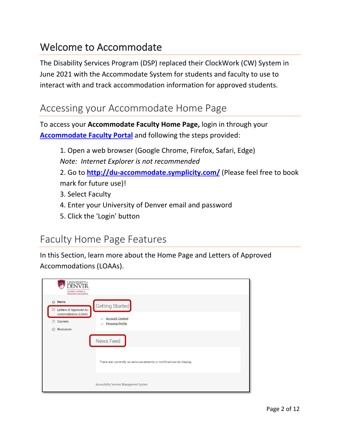### <span id="page-2-0"></span>Welcome to Accommodate

The Disability Services Program (DSP) replaced their ClockWork (CW) System in June 2021 with the Accommodate System for students and faculty to use to interact with and track accommodation information for approved students.

### <span id="page-2-1"></span>Accessing your Accommodate Home Page

To access your **Accommodate Faculty Home Page,** login in through your **[Accommodate Faculty Portal](http://du-accommodate.symplicity.com/)** and following the steps provided:

1. Open a web browser (Google Chrome, Firefox, Safari, Edge) *Note: Internet Explorer is not recommended*

2. Go to **[http://du-accommodate.symplicity.com/](https://urldefense.com/v3/__http:/du-accommodate.symplicity.com/__;!!NCZxaNi9jForCP_SxBKJCA!C2Teh-XwLl7-xsAWw8FS09-Bsrfk6C9fP_py6an3Wx6do7qbqxhbxrFJIUUdOPTr$)** (Please feel free to book mark for future use)!

- 3. Select Faculty
- 4. Enter your University of Denver email and password
- 5. Click the 'Login' button

### <span id="page-2-2"></span>Faculty Home Page Features

In this Section, learn more about the Home Page and Letters of Approved Accommodations (LOAAs).

| UNIVERSITY#<br><b>DENVER</b><br><b>STUDENT AFFAIRS &amp;</b><br><b>INCLUSIVE EXCELLENCE</b> |                                                                                                      |
|---------------------------------------------------------------------------------------------|------------------------------------------------------------------------------------------------------|
| <b>命</b> Home<br>Letters of Approved Ac-<br>⊟<br>commodations (LOAA)<br>ෆ්<br>Courses       | Getting Started<br><b>Account Created</b><br>$\checkmark$<br><b>Personal Profile</b><br>$\checkmark$ |
| Resources<br>ıС                                                                             | News Feed                                                                                            |
|                                                                                             | There are currently no announcements or notifications to display.                                    |
|                                                                                             | Accessibility Services Management System                                                             |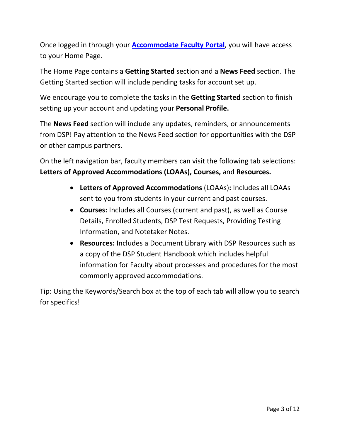Once logged in through your **[Accommodate Faculty Portal](http://du-accommodate.symplicity.com/)**, you will have access to your Home Page.

The Home Page contains a **Getting Started** section and a **News Feed** section. The Getting Started section will include pending tasks for account set up.

We encourage you to complete the tasks in the **Getting Started** section to finish setting up your account and updating your **Personal Profile.**

The **News Feed** section will include any updates, reminders, or announcements from DSP! Pay attention to the News Feed section for opportunities with the DSP or other campus partners.

On the left navigation bar, faculty members can visit the following tab selections: **Letters of Approved Accommodations (LOAAs), Courses,** and **Resources.**

- **Letters of Approved Accommodations** (LOAAs)**:** Includes all LOAAs sent to you from students in your current and past courses.
- **Courses:** Includes all Courses (current and past), as well as Course Details, Enrolled Students, DSP Test Requests, Providing Testing Information, and Notetaker Notes.
- **Resources:** Includes a Document Library with DSP Resources such as a copy of the DSP Student Handbook which includes helpful information for Faculty about processes and procedures for the most commonly approved accommodations.

Tip: Using the Keywords/Search box at the top of each tab will allow you to search for specifics!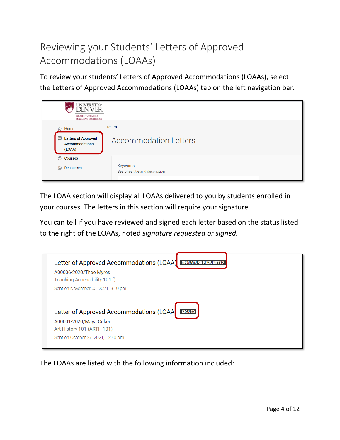### <span id="page-4-0"></span>Reviewing your Students' Letters of Approved Accommodations (LOAAs)

To review your students' Letters of Approved Accommodations (LOAAs), select the Letters of Approved Accommodations (LOAAs) tab on the left navigation bar.



The LOAA section will display all LOAAs delivered to you by students enrolled in your courses. The letters in this section will require your signature.

You can tell if you have reviewed and signed each letter based on the status listed to the right of the LOAAs, noted *signature requested or signed.*

| A00006-2020/Theo Myres             |                                         |               |  |
|------------------------------------|-----------------------------------------|---------------|--|
| Teaching Accessibility 101 ()      |                                         |               |  |
| Sent on November 03, 2021, 8:10 pm |                                         |               |  |
|                                    |                                         |               |  |
|                                    | Letter of Approved Accommodations (LOAA | <b>SIGNED</b> |  |
| A00001-2020/Maya Onken             |                                         |               |  |

The LOAAs are listed with the following information included: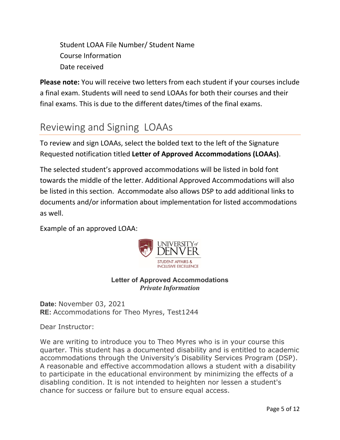Student LOAA File Number/ Student Name Course Information Date received

**Please note:** You will receive two letters from each student if your courses include a final exam. Students will need to send LOAAs for both their courses and their final exams. This is due to the different dates/times of the final exams.

### <span id="page-5-0"></span>Reviewing and Signing LOAAs

To review and sign LOAAs, select the bolded text to the left of the Signature Requested notification titled **Letter of Approved Accommodations (LOAAs)**.

The selected student's approved accommodations will be listed in bold font towards the middle of the letter. Additional Approved Accommodations will also be listed in this section. Accommodate also allows DSP to add additional links to documents and/or information about implementation for listed accommodations as well.

Example of an approved LOAA:



#### **Letter of Approved Accommodations** *Private Information*

**Date:** November 03, 2021 **RE:** Accommodations for Theo Myres, Test1244

Dear Instructor:

We are writing to introduce you to Theo Myres who is in your course this quarter. This student has a documented disability and is entitled to academic accommodations through the University's Disability Services Program (DSP). A reasonable and effective accommodation allows a student with a disability to participate in the educational environment by minimizing the effects of a disabling condition. It is not intended to heighten nor lessen a student's chance for success or failure but to ensure equal access.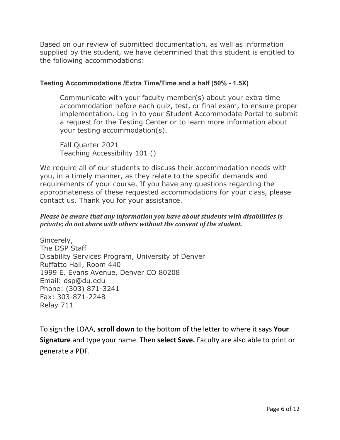Based on our review of submitted documentation, as well as information supplied by the student, we have determined that this student is entitled to the following accommodations:

#### **Testing Accommodations /Extra Time/Time and a half (50% - 1.5X)**

Communicate with your faculty member(s) about your extra time accommodation before each quiz, test, or final exam, to ensure proper implementation. Log in to your Student Accommodate Portal to submit a request for the Testing Center or to learn more information about your testing accommodation(s).

Fall Quarter 2021 Teaching Accessibility 101 ()

We require all of our students to discuss their accommodation needs with you, in a timely manner, as they relate to the specific demands and requirements of your course. If you have any questions regarding the appropriateness of these requested accommodations for your class, please contact us. Thank you for your assistance.

#### *Please be aware that any information you have about students with disabilities is private; do not share with others without the consent of the student.*

Sincerely, The DSP Staff Disability Services Program, University of Denver Ruffatto Hall, Room 440 1999 E. Evans Avenue, Denver CO 80208 Email: dsp@du.edu Phone: (303) 871-3241 Fax: 303-871-2248 Relay 711

To sign the LOAA, **scroll down** to the bottom of the letter to where it says **Your Signature** and type your name. Then **select Save.** Faculty are also able to print or generate a PDF.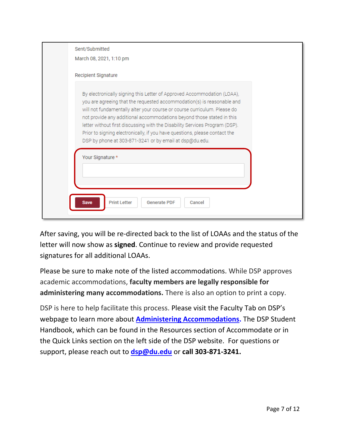| Sent/Submitted<br>March 08, 2021, 1:10 pm                                                                                                                                                                                                                                                                                                                                                                                                                                                                                      |
|--------------------------------------------------------------------------------------------------------------------------------------------------------------------------------------------------------------------------------------------------------------------------------------------------------------------------------------------------------------------------------------------------------------------------------------------------------------------------------------------------------------------------------|
| Recipient Signature                                                                                                                                                                                                                                                                                                                                                                                                                                                                                                            |
| By electronically signing this Letter of Approved Accommodation (LOAA),<br>you are agreeing that the requested accommodation(s) is reasonable and<br>will not fundamentally alter your course or course curriculum. Please do<br>not provide any additional accommodations beyond those stated in this<br>letter without first discussing with the Disability Services Program (DSP).<br>Prior to signing electronically, if you have questions, please contact the<br>DSP by phone at 303-871-3241 or by email at dsp@du.edu. |
| Your Signature *                                                                                                                                                                                                                                                                                                                                                                                                                                                                                                               |
| <b>Print Letter</b><br><b>Generate PDF</b><br>Cancel<br>save                                                                                                                                                                                                                                                                                                                                                                                                                                                                   |

After saving, you will be re-directed back to the list of LOAAs and the status of the letter will now show as **signed**. Continue to review and provide requested signatures for all additional LOAAs.

Please be sure to make note of the listed accommodations. While DSP approves academic accommodations, **faculty members are legally responsible for administering many accommodations.** There is also an option to print a copy.

DSP is here to help facilitate this process. Please visit the Faculty Tab on DSP's webpage to learn more about **[Administering Accommodations.](https://www.du.edu/studentlife/disability-services/faculty-staff/administer-accommodations.html)** The DSP Student Handbook, which can be found in the Resources section of Accommodate or in the Quick Links section on the left side of the DSP website. For questions or support, please reach out to **[dsp@du.edu](mailto:dsp@du.edu)** or **call 303-871-3241.**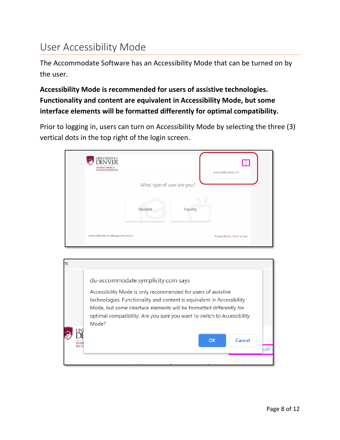### <span id="page-8-0"></span>User Accessibility Mode

The Accommodate Software has an Accessibility Mode that can be turned on by the user.

#### **Accessibility Mode is recommended for users of assistive technologies. Functionality and content are equivalent in Accessibility Mode, but some interface elements will be formatted differently for optimal compatibility.**

Prior to logging in, users can turn on Accessibility Mode by selecting the three (3) vertical dots in the top right of the login screen.

| universityø<br>DENVER<br>STUDENT AFFAIRS &<br><b>INCLUSIVE EXCELLENCE</b> |         |                                       | H<br>Accessibility Mode: off  |  |
|---------------------------------------------------------------------------|---------|---------------------------------------|-------------------------------|--|
|                                                                           | Student | What type of user are you?<br>Faculty |                               |  |
| Accessibility Services Management System                                  |         |                                       | Privacy Policy   Terms of Use |  |

| STUD<br><b>INCLL</b> | du-accommodate.symplicity.com says<br>Accessibility Mode is only recommended for users of assistive<br>technologies. Functionality and content is equivalent in Accessibility<br>Mode, but some interface elements will be formatted differently for<br>optimal compatibility. Are you sure you want to switch to Accessibility<br>Mode?<br>OK<br>Cancel | off |
|----------------------|----------------------------------------------------------------------------------------------------------------------------------------------------------------------------------------------------------------------------------------------------------------------------------------------------------------------------------------------------------|-----|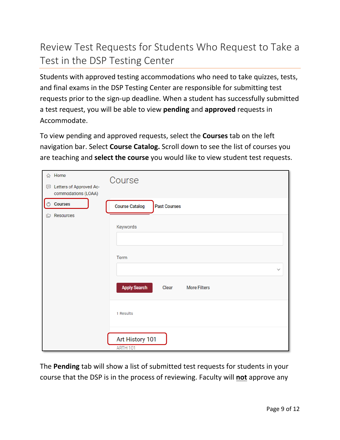### <span id="page-9-0"></span>Review Test Requests for Students Who Request to Take a Test in the DSP Testing Center

Students with approved testing accommodations who need to take quizzes, tests, and final exams in the DSP Testing Center are responsible for submitting test requests prior to the sign-up deadline. When a student has successfully submitted a test request, you will be able to view **pending** and **approved** requests in Accommodate.

To view pending and approved requests, select the **Courses** tab on the left navigation bar. Select **Course Catalog.** Scroll down to see the list of courses you are teaching and **select the course** you would like to view student test requests.

| Home<br>⇧<br>Letters of Approved Ac-<br>⊟<br>commodations (LOAA) | Course                                              |
|------------------------------------------------------------------|-----------------------------------------------------|
| ඊ<br><b>Courses</b>                                              | <b>Course Catalog</b><br><b>Past Courses</b>        |
| Resources<br>ıЬ                                                  | Keywords                                            |
|                                                                  | Term                                                |
|                                                                  | $\checkmark$                                        |
|                                                                  | <b>Apply Search</b><br><b>More Filters</b><br>Clear |
|                                                                  | 1 Results                                           |
|                                                                  | Art History 101<br>ARTH 101                         |

The **Pending** tab will show a list of submitted test requests for students in your course that the DSP is in the process of reviewing. Faculty will **not** approve any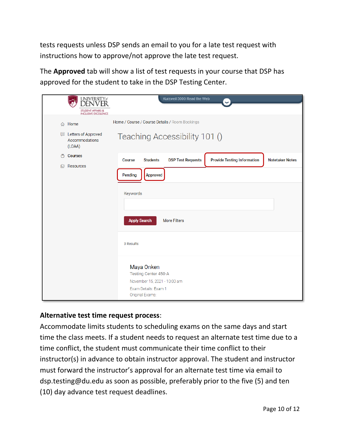tests requests unless DSP sends an email to you for a late test request with instructions how to approve/not approve the late test request.

The **Approved** tab will show a list of test requests in your course that DSP has approved for the student to take in the DSP Testing Center.

| <b>UNIVERSITY</b> of<br><b>STUDENT AFFAIRS &amp;</b><br><b>INCLUSIVE EXCELLENCE</b> | Kurzweil 3000 Read the Web                                                                                                   |
|-------------------------------------------------------------------------------------|------------------------------------------------------------------------------------------------------------------------------|
| 命 Home                                                                              | Home / Course / Course Details / Room Bookings                                                                               |
| <b>同 Letters of Approved</b><br>Accommodations<br>(LOAA)                            | Teaching Accessibility 101 ()                                                                                                |
| ජ<br><b>Courses</b>                                                                 | <b>DSP Test Requests</b><br><b>Provide Testing Information</b><br><b>Students</b><br><b>Notetaker Notes</b><br><b>Course</b> |
| Resources<br>כון                                                                    | Pending<br><b>Approved</b><br>Keywords<br><b>Apply Search</b><br><b>More Filters</b><br>3 Results                            |
|                                                                                     | Maya Onken<br><b>Testing Center 450-A</b><br>November 15, 2021 - 10:00 am<br>Exam Details: Exam 1<br>Original Exams:         |

#### **Alternative test time request process**:

Accommodate limits students to scheduling exams on the same days and start time the class meets. If a student needs to request an alternate test time due to a time conflict, the student must communicate their time conflict to their instructor(s) in advance to obtain instructor approval. The student and instructor must forward the instructor's approval for an alternate test time via email to dsp.testing@du.edu as soon as possible, preferably prior to the five (5) and ten (10) day advance test request deadlines.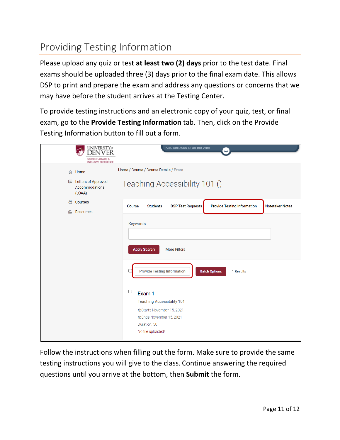### <span id="page-11-0"></span>Providing Testing Information

Please upload any quiz or test **at least two (2) days** prior to the test date. Final exams should be uploaded three (3) days prior to the final exam date. This allows DSP to print and prepare the exam and address any questions or concerns that we may have before the student arrives at the Testing Center.

To provide testing instructions and an electronic copy of your quiz, test, or final exam, go to the **Provide Testing Information** tab. Then, click on the Provide Testing Information button to fill out a form.

| UNIVERSITY of<br><b>DENIVER</b><br><b>STUDENT AFFAIRS &amp;</b><br><b>INCLUSIVE EXCELLENCE</b> | Kurzweil 3000 Read the Web                                                                                                                                  |
|------------------------------------------------------------------------------------------------|-------------------------------------------------------------------------------------------------------------------------------------------------------------|
| Home<br>ଋ                                                                                      | Home / Course / Course Details / Exam                                                                                                                       |
| <b>同</b> Letters of Approved<br>Accommodations<br>(LOAA)                                       | Teaching Accessibility 101 ()                                                                                                                               |
| ජ<br><b>Courses</b>                                                                            | <b>DSP Test Requests</b><br><b>Provide Testing Information</b><br><b>Students</b><br><b>Notetaker Notes</b><br><b>Course</b>                                |
|                                                                                                | Keywords<br><b>Apply Search</b><br><b>More Filters</b>                                                                                                      |
|                                                                                                | <b>Provide Testing Information</b><br><b>Batch Options</b><br>1 Results                                                                                     |
|                                                                                                | 0<br>Exam 1<br><b>Teaching Accessibility 101</b><br><b>OStarts November 15, 2021</b><br><b>OEnds November 15, 2021</b><br>Duration: 50<br>No file uploaded! |

Follow the instructions when filling out the form. Make sure to provide the same testing instructions you will give to the class. Continue answering the required questions until you arrive at the bottom, then **Submit** the form.